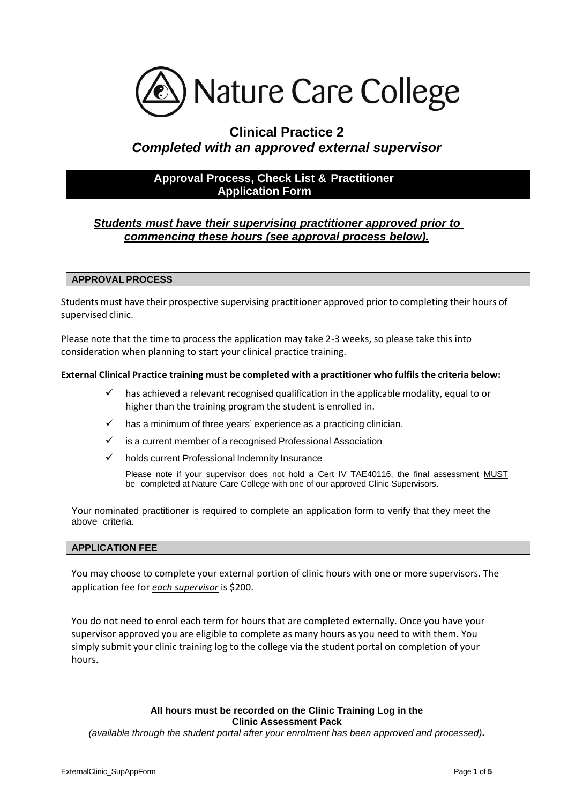

# **Clinical Practice 2**  *Completed with an approved external supervisor*

## **Approval Process, Check List & Practitioner Application Form**

## *Students must have their supervising practitioner approved prior to commencing these hours (see approval process below).*

### **APPROVAL PROCESS**

Students must have their prospective supervising practitioner approved prior to completing their hours of supervised clinic.

Please note that the time to process the application may take 2-3 weeks, so please take this into consideration when planning to start your clinical practice training.

#### **External Clinical Practice training must be completed with a practitioner who fulfils the criteria below:**

- has achieved a relevant recognised qualification in the applicable modality, equal to or higher than the training program the student is enrolled in.
- has a minimum of three years' experience as a practicing clinician.
- is a current member of a recognised Professional Association
- holds current Professional Indemnity Insurance

Please note if your supervisor does not hold a Cert IV TAE40116, the final assessment MUST be completed at Nature Care College with one of our approved Clinic Supervisors.

Your nominated practitioner is required to complete an application form to verify that they meet the above criteria.

#### **APPLICATION FEE**

You may choose to complete your external portion of clinic hours with one or more supervisors. The application fee for *each supervisor* is \$200.

You do not need to enrol each term for hours that are completed externally. Once you have your supervisor approved you are eligible to complete as many hours as you need to with them. You simply submit your clinic training log to the college via the student portal on completion of your hours.

#### **All hours must be recorded on the Clinic Training Log in the Clinic Assessment Pack**

*(available through the student portal after your enrolment has been approved and processed)***.**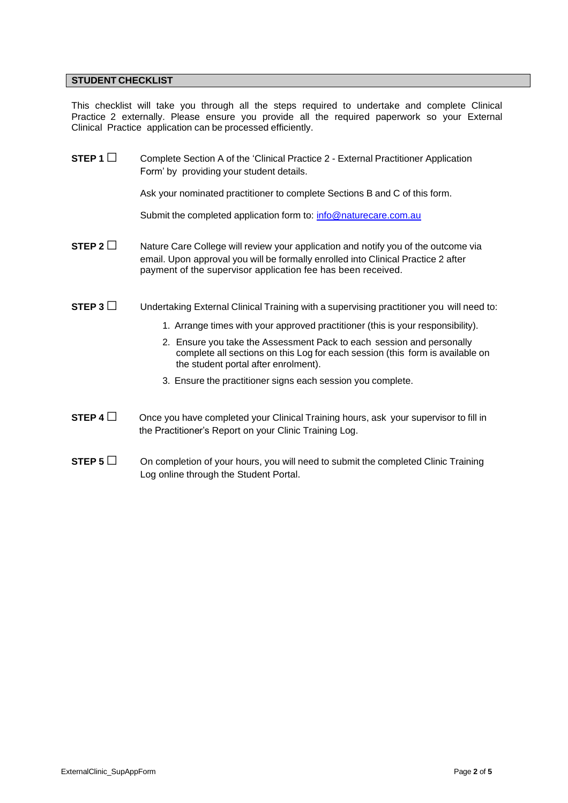## **STUDENT CHECKLIST**

This checklist will take you through all the steps required to undertake and complete Clinical Practice 2 externally. Please ensure you provide all the required paperwork so your External Clinical Practice application can be processed efficiently.

| STEP 1 $\Box$    | Complete Section A of the 'Clinical Practice 2 - External Practitioner Application<br>Form' by providing your student details.                                                                                                                                                                                                                                                                                                               |  |  |
|------------------|----------------------------------------------------------------------------------------------------------------------------------------------------------------------------------------------------------------------------------------------------------------------------------------------------------------------------------------------------------------------------------------------------------------------------------------------|--|--|
|                  | Ask your nominated practitioner to complete Sections B and C of this form.                                                                                                                                                                                                                                                                                                                                                                   |  |  |
|                  | Submit the completed application form to: info@naturecare.com.au                                                                                                                                                                                                                                                                                                                                                                             |  |  |
| STEP 2 $\square$ | Nature Care College will review your application and notify you of the outcome via<br>email. Upon approval you will be formally enrolled into Clinical Practice 2 after<br>payment of the supervisor application fee has been received.                                                                                                                                                                                                      |  |  |
| STEP 3           | Undertaking External Clinical Training with a supervising practitioner you will need to:<br>1. Arrange times with your approved practitioner (this is your responsibility).<br>2. Ensure you take the Assessment Pack to each session and personally<br>complete all sections on this Log for each session (this form is available on<br>the student portal after enrolment).<br>3. Ensure the practitioner signs each session you complete. |  |  |
| STEP 4 $\square$ | Once you have completed your Clinical Training hours, ask your supervisor to fill in<br>the Practitioner's Report on your Clinic Training Log.                                                                                                                                                                                                                                                                                               |  |  |
| STEP 5 $\Box$    | On completion of your hours, you will need to submit the completed Clinic Training<br>Log online through the Student Portal.                                                                                                                                                                                                                                                                                                                 |  |  |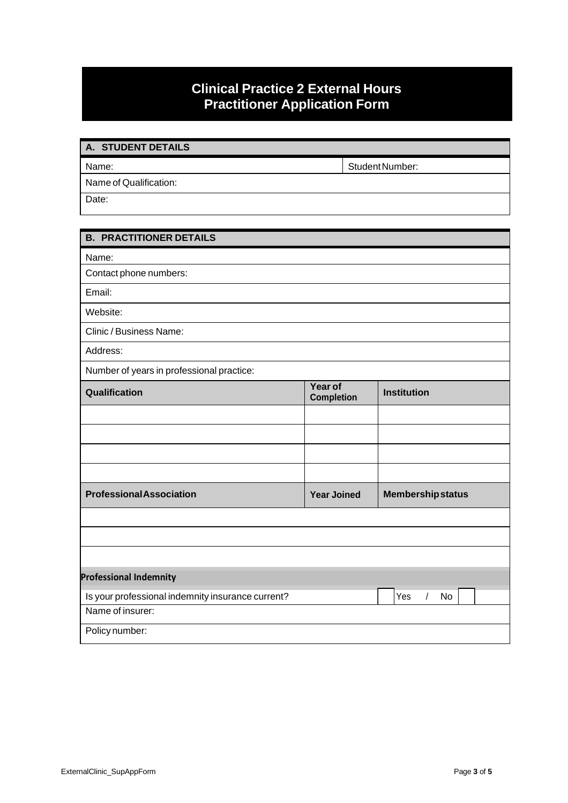# **Clinical Practice 2 External Hours Practitioner Application Form**

| A. STUDENT DETAILS     |                 |
|------------------------|-----------------|
| Name:                  | Student Number: |
| Name of Qualification: |                 |
| Date:                  |                 |

## **B. PRACTITIONER DETAILS**

Name:

Contact phone numbers:

Email:

Website:

Clinic / Business Name:

Address:

Number of years in professional practice:

| <b>TVGHTDCT OF yOURS IFF</b> PROTOSSIONIGH PROGROUP. |                              |                          |  |
|------------------------------------------------------|------------------------------|--------------------------|--|
| Qualification                                        | Year of<br><b>Completion</b> | <b>Institution</b>       |  |
|                                                      |                              |                          |  |
|                                                      |                              |                          |  |
|                                                      |                              |                          |  |
|                                                      |                              |                          |  |
| <b>Professional Association</b>                      | <b>Year Joined</b>           | <b>Membership status</b> |  |
|                                                      |                              |                          |  |
|                                                      |                              |                          |  |
|                                                      |                              |                          |  |
| <b>Professional Indemnity</b>                        |                              |                          |  |
| Is your professional indemnity insurance current?    |                              | Yes<br>No<br>I           |  |
| Name of insurer:                                     |                              |                          |  |
| Policy number:                                       |                              |                          |  |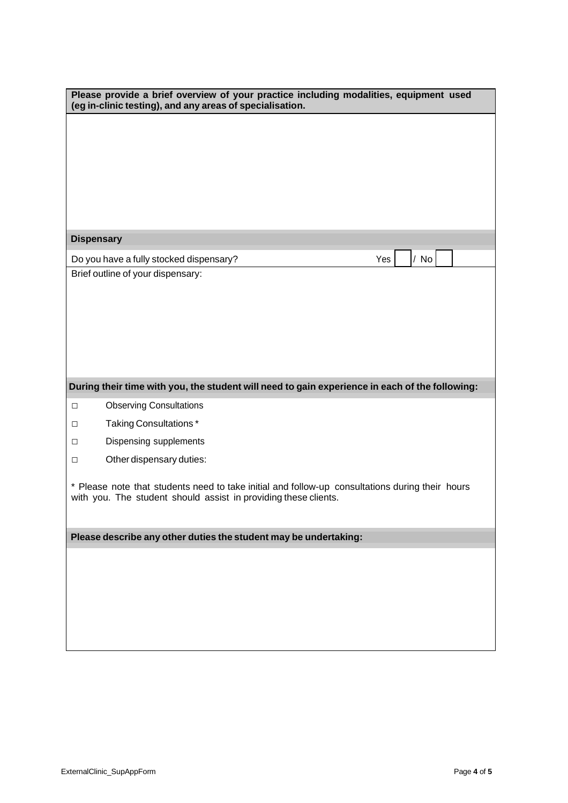| Please provide a brief overview of your practice including modalities, equipment used<br>(eg in-clinic testing), and any areas of specialisation.                  |  |  |  |  |
|--------------------------------------------------------------------------------------------------------------------------------------------------------------------|--|--|--|--|
|                                                                                                                                                                    |  |  |  |  |
|                                                                                                                                                                    |  |  |  |  |
|                                                                                                                                                                    |  |  |  |  |
|                                                                                                                                                                    |  |  |  |  |
|                                                                                                                                                                    |  |  |  |  |
|                                                                                                                                                                    |  |  |  |  |
| <b>Dispensary</b>                                                                                                                                                  |  |  |  |  |
| Yes<br>/ No<br>Do you have a fully stocked dispensary?                                                                                                             |  |  |  |  |
| Brief outline of your dispensary:                                                                                                                                  |  |  |  |  |
|                                                                                                                                                                    |  |  |  |  |
|                                                                                                                                                                    |  |  |  |  |
|                                                                                                                                                                    |  |  |  |  |
|                                                                                                                                                                    |  |  |  |  |
|                                                                                                                                                                    |  |  |  |  |
| During their time with you, the student will need to gain experience in each of the following:                                                                     |  |  |  |  |
| <b>Observing Consultations</b><br>$\Box$                                                                                                                           |  |  |  |  |
| Taking Consultations*<br>$\Box$                                                                                                                                    |  |  |  |  |
| Dispensing supplements<br>$\Box$                                                                                                                                   |  |  |  |  |
| Other dispensary duties:<br>$\Box$                                                                                                                                 |  |  |  |  |
|                                                                                                                                                                    |  |  |  |  |
| * Please note that students need to take initial and follow-up consultations during their hours<br>with you. The student should assist in providing these clients. |  |  |  |  |
|                                                                                                                                                                    |  |  |  |  |
|                                                                                                                                                                    |  |  |  |  |
| Please describe any other duties the student may be undertaking:                                                                                                   |  |  |  |  |
|                                                                                                                                                                    |  |  |  |  |
|                                                                                                                                                                    |  |  |  |  |
|                                                                                                                                                                    |  |  |  |  |
|                                                                                                                                                                    |  |  |  |  |
|                                                                                                                                                                    |  |  |  |  |
|                                                                                                                                                                    |  |  |  |  |